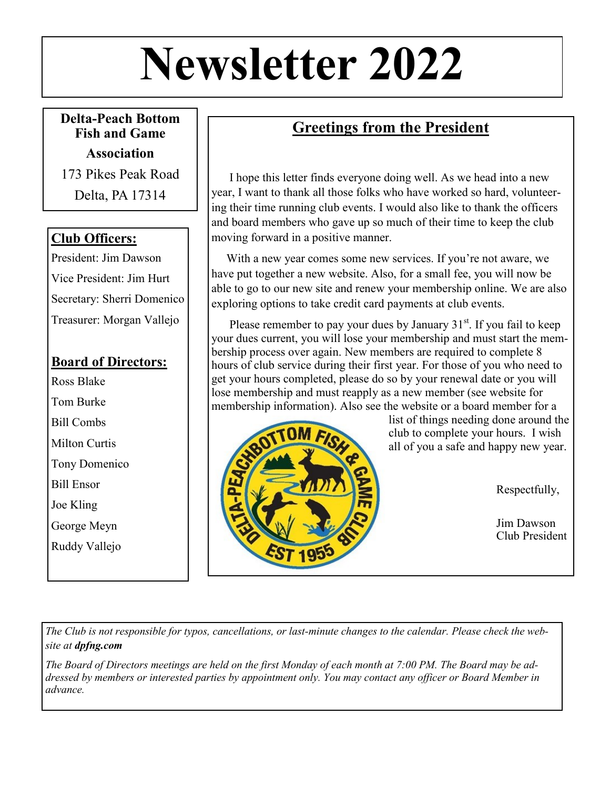# **Newsletter 2022**

**Delta-Peach Bottom Fish and Game** 

**Association**

173 Pikes Peak Road Delta, PA 17314

#### **Club Officers:**

President: Jim Dawson Vice President: Jim Hurt Secretary: Sherri Domenico Treasurer: Morgan Vallejo

#### **Board of Directors:**

Ross Blake Tom Burke Bill Combs Milton Curtis Tony Domenico Bill Ensor Joe Kling George Meyn Ruddy Vallejo

# **Greetings from the President**

 I hope this letter finds everyone doing well. As we head into a new year, I want to thank all those folks who have worked so hard, volunteering their time running club events. I would also like to thank the officers and board members who gave up so much of their time to keep the club moving forward in a positive manner.

 With a new year comes some new services. If you're not aware, we have put together a new website. Also, for a small fee, you will now be able to go to our new site and renew your membership online. We are also exploring options to take credit card payments at club events.

Please remember to pay your dues by January  $31<sup>st</sup>$ . If you fail to keep your dues current, you will lose your membership and must start the membership process over again. New members are required to complete 8 hours of club service during their first year. For those of you who need to get your hours completed, please do so by your renewal date or you will lose membership and must reapply as a new member (see website for membership information). Also see the website or a board member for a



list of things needing done around the club to complete your hours. I wish all of you a safe and happy new year.

Respectfully,

Jim Dawson Club President

The Club is not responsible for typos, cancellations, or last-minute changes to the calendar. Please check the web*site at dpfng.com* 

*The Board of Directors meetings are held on the first Monday of each month at 7:00 PM. The Board may be addressed by members or interested parties by appointment only. You may contact any officer or Board Member in advance.*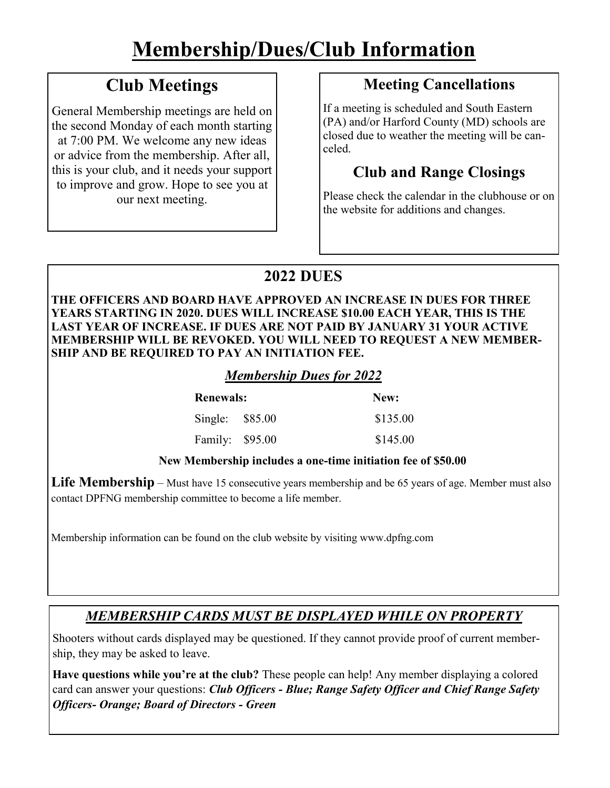# **Membership/Dues/Club Information**

# **Club Meetings**

General Membership meetings are held on the second Monday of each month starting at 7:00 PM. We welcome any new ideas or advice from the membership. After all, this is your club, and it needs your support to improve and grow. Hope to see you at our next meeting.

# **Meeting Cancellations**

If a meeting is scheduled and South Eastern (PA) and/or Harford County (MD) schools are closed due to weather the meeting will be canceled.

# **Club and Range Closings**

Please check the calendar in the clubhouse or on the website for additions and changes.

# **2022 DUES**

**THE OFFICERS AND BOARD HAVE APPROVED AN INCREASE IN DUES FOR THREE YEARS STARTING IN 2020. DUES WILL INCREASE \$10.00 EACH YEAR, THIS IS THE LAST YEAR OF INCREASE. IF DUES ARE NOT PAID BY JANUARY 31 YOUR ACTIVE MEMBERSHIP WILL BE REVOKED. YOU WILL NEED TO REQUEST A NEW MEMBER-SHIP AND BE REQUIRED TO PAY AN INITIATION FEE.** 

#### *Membership Dues for 2022*

| <b>Renewals:</b> |  | New:     |
|------------------|--|----------|
| Single: $$85.00$ |  | \$135.00 |
| Family: \$95.00  |  | \$145.00 |

#### **New Membership includes a one-time initiation fee of \$50.00**

**Life Membership** – Must have 15 consecutive years membership and be 65 years of age. Member must also contact DPFNG membership committee to become a life member.

Membership information can be found on the club website by visiting www.dpfng.com

#### *MEMBERSHIP CARDS MUST BE DISPLAYED WHILE ON PROPERTY*

Shooters without cards displayed may be questioned. If they cannot provide proof of current membership, they may be asked to leave.

**Have questions while you're at the club?** These people can help! Any member displaying a colored card can answer your questions: *Club Officers - Blue; Range Safety Officer and Chief Range Safety Officers- Orange; Board of Directors - Green*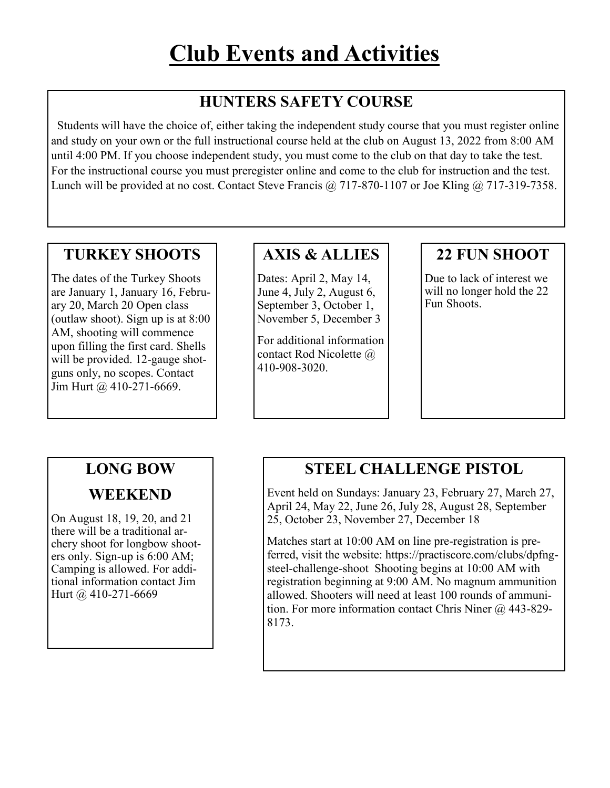# **HUNTERS SAFETY COURSE**

 Students will have the choice of, either taking the independent study course that you must register online and study on your own or the full instructional course held at the club on August 13, 2022 from 8:00 AM until 4:00 PM. If you choose independent study, you must come to the club on that day to take the test. For the instructional course you must preregister online and come to the club for instruction and the test. Lunch will be provided at no cost. Contact Steve Francis @ 717-870-1107 or Joe Kling @ 717-319-7358.

#### **TURKEY SHOOTS**

The dates of the Turkey Shoots are January 1, January 16, February 20, March 20 Open class (outlaw shoot). Sign up is at 8:00 AM, shooting will commence upon filling the first card. Shells will be provided. 12-gauge shotguns only, no scopes. Contact Jim Hurt @ 410-271-6669.

#### **AXIS & ALLIES**

Dates: April 2, May 14, June 4, July 2, August 6, September 3, October 1, November 5, December 3

For additional information contact Rod Nicolette @ 410-908-3020.

### **22 FUN SHOOT**

Due to lack of interest we will no longer hold the 22 Fun Shoots.

#### **LONG BOW**

#### **WEEKEND**

On August 18, 19, 20, and 21 there will be a traditional archery shoot for longbow shooters only. Sign-up is 6:00 AM; Camping is allowed. For additional information contact Jim Hurt @ 410-271-6669

#### **STEEL CHALLENGE PISTOL**

Event held on Sundays: January 23, February 27, March 27, April 24, May 22, June 26, July 28, August 28, September 25, October 23, November 27, December 18

Matches start at 10:00 AM on line pre-registration is preferred, visit the website: https://practiscore.com/clubs/dpfngsteel-challenge-shoot Shooting begins at 10:00 AM with registration beginning at 9:00 AM. No magnum ammunition allowed. Shooters will need at least 100 rounds of ammunition. For more information contact Chris Niner @ 443-829-8173.